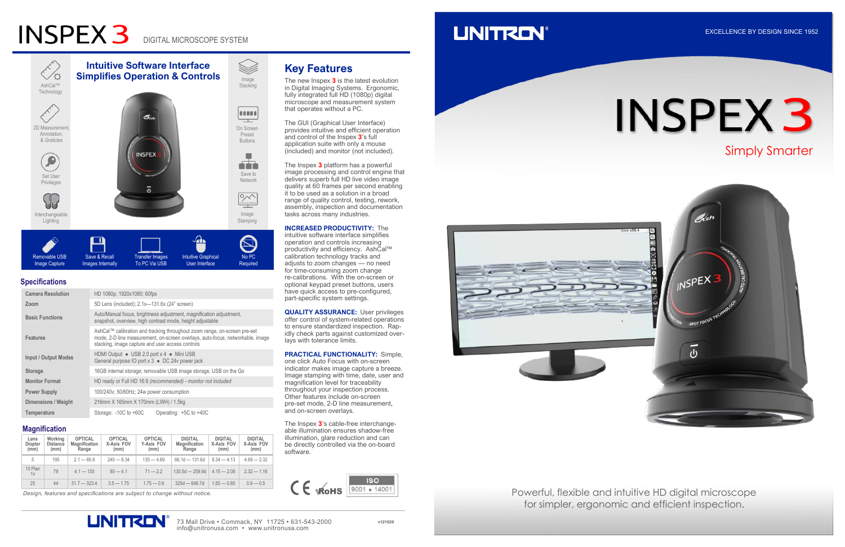# **INSPEX 3**

DIGITAL MICROSCOPE SYSTEM

| <b>Camera Resolution</b>    | HD 1080p; 1920x1080; 60fps                                                                                                                                                                                      |  |  |  |  |  |
|-----------------------------|-----------------------------------------------------------------------------------------------------------------------------------------------------------------------------------------------------------------|--|--|--|--|--|
| Zoom                        | 5D Lens (included); 2.1x-131.6x (24" screen)                                                                                                                                                                    |  |  |  |  |  |
| <b>Basic Functions</b>      | Auto/Manual focus, brightness adjustment, magnification adjustment,<br>snapshot, overview, high contrast mode, height adjustable                                                                                |  |  |  |  |  |
| <b>Features</b>             | AshCal™ calibration and tracking throughout zoom range, on-screen pre-set<br>mode, 2-D line measurement, on-screen overlays, auto-focus, networkable, image<br>stacking, image capture and user access controls |  |  |  |  |  |
| <b>Input / Output Modes</b> | HDMI Output • USB 2.0 port x 4 • Mini USB<br>General purpose IO port x 3 ● DC 24v power jack                                                                                                                    |  |  |  |  |  |
| <b>Storage</b>              | 16GB internal storage; removable USB image storage, USB on the Go                                                                                                                                               |  |  |  |  |  |
| <b>Monitor Format</b>       | HD ready or Full HD 16:9 (recommended) - monitor not included                                                                                                                                                   |  |  |  |  |  |
| <b>Power Supply</b>         | 100/240v; 50/60Hz; 24w power consumption                                                                                                                                                                        |  |  |  |  |  |
| Dimensions / Weight         | 216mm X 165mm X 170mm (LWH) / 1.5kg                                                                                                                                                                             |  |  |  |  |  |
| <b>Temperature</b>          | Storage: -10C to +60C<br>Operating: $+5C$ to $+40C$                                                                                                                                                             |  |  |  |  |  |

Save & Recall Images Internally

| Lens<br>Diopter<br>(mm) | Working<br><b>Distance</b><br>(mm) | <b>OPTICAL</b><br><b>Magnification</b><br>Range | <b>OPTICAL</b><br>X-Axis FOV<br>(mm) | <b>OPTICAL</b><br>Y-Axis FOV<br>(mm) | <b>DIGITAL</b><br><b>Magnification</b><br>Range | <b>DIGITAL</b><br>X-Axis FOV<br>(mm) | <b>DIGITAL</b><br>X-Axis FOV<br>(mm) |
|-------------------------|------------------------------------|-------------------------------------------------|--------------------------------------|--------------------------------------|-------------------------------------------------|--------------------------------------|--------------------------------------|
| 5                       | 195                                | $2.1 - 65.6$                                    | $240 - 8.34$                         | $135 - 469$                          | $66.1d - 131.6d$                                | $8.34 - 4.13$                        | $4.69 - 2.32$                        |
| 10 Plan<br>1x           | 79                                 | $4.1 - 130$                                     | $80 - 4.1$                           | $71 - 22$                            | $130.5d - 259.9d$                               | $4.15 - 2.08$                        | $2.32 - 1.16$                        |
| 25                      | 44                                 | $51.7 - 323.4$                                  | $3.5 - 1.75$                         | $1.75 - 0.9$                         | $325d - 646.7d$                                 | $1.65 - 0.85$                        | $0.9 - 0.5$                          |

Design, features and specifications are subject to change without notice.

Removable USB Image Capture

Intuitive Graphical User Interface

# **UNITRON**\*

No PC Required

#### microscope and measurement system that operates without a PC. The GUI (Graphical User Interface) provides intuitive and efficient operation

and control of the Inspex  $3$ 's full application suite with only a mouse (included) and monitor (not included).

The Inspex 3 platform has a powerful image processing and control engine that delivers superb full HD live video image quality at 60 frames per second enabling it to be used as a solution in a broad range of quality control, testing, rework, assembly, inspection and documentation tasks across many industries.

#### INCREASED PRODUCTIVITY: The

intuitive software interface simplifies operation and controls increasing productivity and efficiency. AshCal™ calibration technology tracks and adjusts to zoom changes  $-$  no need for time-consuming zoom change re-calibrations. With the on-screen or optional keypad preset buttons, users have quick access to pre-configured, part-specific system settings.

QUALITY ASSURANCE: User privileges offer control of system-related operations to ensure standardized inspection. Rapidly check parts against customized overlays with tolerance limits.

PRACTICAL FUNCTIONALITY: Simple, one click Auto Focus with on-screen indicator makes image capture a breeze. Image stamping with time, date, user and magnification level for traceability throughout your inspection process. Other features include on-screen pre-set mode, 2-D line measurement, and on-screen overlays.

The Inspex 3's cable-free interchangeable illumination ensures shadow-free illumination, glare reduction and can be directly controlled via the on-board software.





#### **Specifications**

Transfer Images To PC Via USB

#### **Magnification**









73 Mall Drive • Commack, NY 11725 • 631-543-2000 v121620 info@unitronusa.com • www.unitronusa.com

EXCELLENCE BY DESIGN SINCE 1952

Powerful, flexible and intuitive HD digital microscope for simpler, ergonomic and efficient inspection.